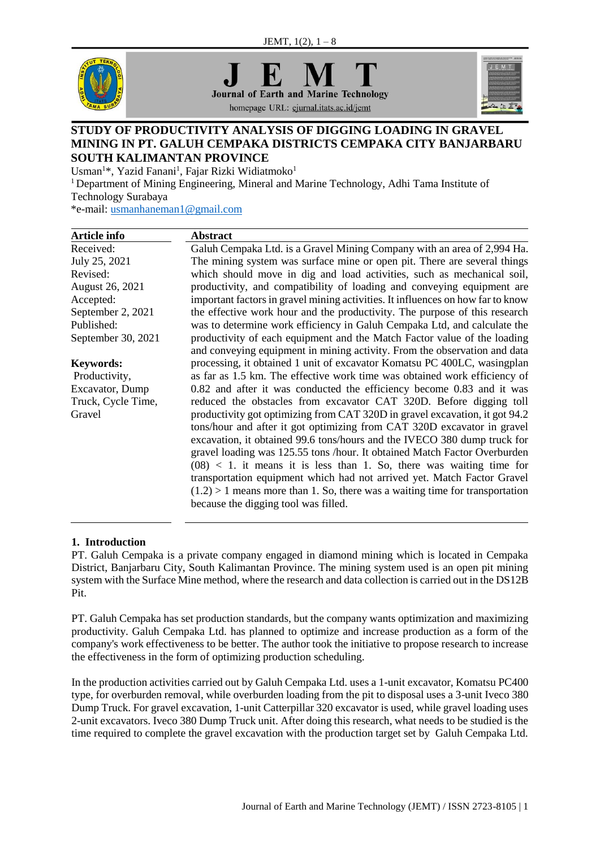



homepage URL: ejurnal.itats.ac.id/jemt



## **STUDY OF PRODUCTIVITY ANALYSIS OF DIGGING LOADING IN GRAVEL MINING IN PT. GALUH CEMPAKA DISTRICTS CEMPAKA CITY BANJARBARU SOUTH KALIMANTAN PROVINCE**

Usman<sup>1</sup>\*, Yazid Fanani<sup>1</sup>, Fajar Rizki Widiatmoko<sup>1</sup>

<sup>1</sup> Department of Mining Engineering, Mineral and Marine Technology, Adhi Tama Institute of Technology Surabaya

\*e-mail: [usmanhaneman1@gmail.com](mailto:usmanhaneman1@gmail.com)

| <b>Article info</b> | <b>Abstract</b>                                                                 |
|---------------------|---------------------------------------------------------------------------------|
| Received:           | Galuh Cempaka Ltd. is a Gravel Mining Company with an area of 2,994 Ha.         |
| July 25, 2021       | The mining system was surface mine or open pit. There are several things        |
| Revised:            | which should move in dig and load activities, such as mechanical soil,          |
| August 26, 2021     | productivity, and compatibility of loading and conveying equipment are          |
| Accepted:           | important factors in gravel mining activities. It influences on how far to know |
| September 2, 2021   | the effective work hour and the productivity. The purpose of this research      |
| Published:          | was to determine work efficiency in Galuh Cempaka Ltd, and calculate the        |
| September 30, 2021  | productivity of each equipment and the Match Factor value of the loading        |
|                     | and conveying equipment in mining activity. From the observation and data       |
| <b>Keywords:</b>    | processing, it obtained 1 unit of excavator Komatsu PC 400LC, wasingplan        |
| Productivity,       | as far as 1.5 km. The effective work time was obtained work efficiency of       |
| Excavator, Dump     | 0.82 and after it was conducted the efficiency become 0.83 and it was           |
| Truck, Cycle Time,  | reduced the obstacles from excavator CAT 320D. Before digging toll              |
| Gravel              | productivity got optimizing from CAT 320D in gravel excavation, it got 94.2     |
|                     | tons/hour and after it got optimizing from CAT 320D excavator in gravel         |
|                     | excavation, it obtained 99.6 tons/hours and the IVECO 380 dump truck for        |
|                     | gravel loading was 125.55 tons /hour. It obtained Match Factor Overburden       |
|                     | $(08)$ < 1. it means it is less than 1. So, there was waiting time for          |
|                     | transportation equipment which had not arrived yet. Match Factor Gravel         |
|                     | $(1.2) > 1$ means more than 1. So, there was a waiting time for transportation  |
|                     | because the digging tool was filled.                                            |
|                     |                                                                                 |

#### **1. Introduction**

PT. Galuh Cempaka is a private company engaged in diamond mining which is located in Cempaka District, Banjarbaru City, South Kalimantan Province. The mining system used is an open pit mining system with the Surface Mine method, where the research and data collection is carried out in the DS12B Pit.

PT. Galuh Cempaka has set production standards, but the company wants optimization and maximizing productivity. Galuh Cempaka Ltd. has planned to optimize and increase production as a form of the company's work effectiveness to be better. The author took the initiative to propose research to increase the effectiveness in the form of optimizing production scheduling.

In the production activities carried out by Galuh Cempaka Ltd. uses a 1-unit excavator, Komatsu PC400 type, for overburden removal, while overburden loading from the pit to disposal uses a 3-unit Iveco 380 Dump Truck. For gravel excavation, 1-unit Catterpillar 320 excavator is used, while gravel loading uses 2-unit excavators. Iveco 380 Dump Truck unit. After doing this research, what needs to be studied is the time required to complete the gravel excavation with the production target set by Galuh Cempaka Ltd.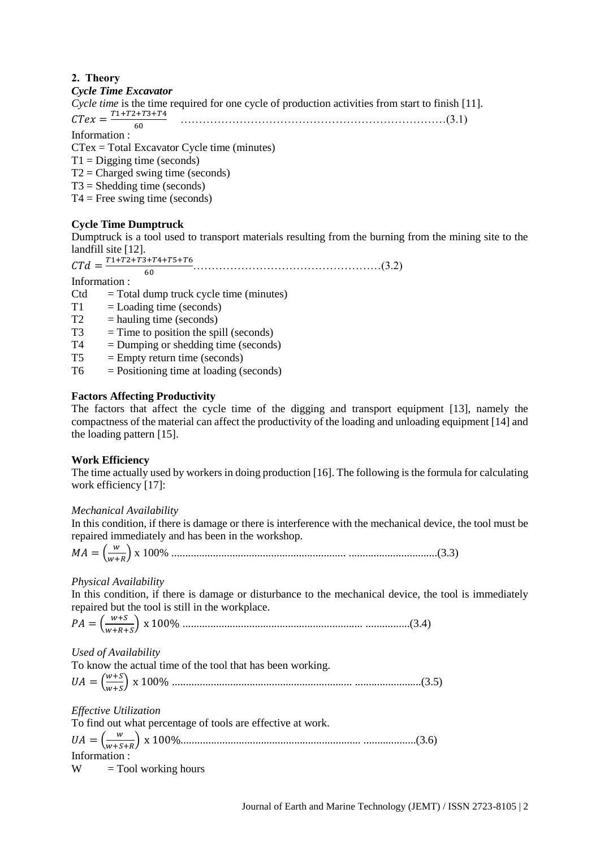# **2. Theory**

## *Cycle Time Excavator*

*Cycle time* is the time required for one cycle of production activities from start to finish [11].

 $CTex = \frac{T1+T2+T3+T4}{60}$ 60 ………………………………………………………………(3.1)

Information :

CTex = Total Excavator Cycle time (minutes)

 $T1 =$ Digging time (seconds)

 $T2 =$ Charged swing time (seconds)

 $T3$  = Shedding time (seconds)

 $T4 =$  Free swing time (seconds)

# **Cycle Time Dumptruck**

Dumptruck is a tool used to transport materials resulting from the burning from the mining site to the landfill site [12].

 $CTd = \frac{T1 + T2 + T3 + T4 + T5 + T6}{T}$  ……………………………………………………(3.2)

Information :

- $Ctd = Total$  dump truck cycle time (minutes)
- $T1 =$ Loading time (seconds)

60

- $T2 =$  hauling time (seconds)
- $T3 = Time to position the spill (seconds)$
- $T4 =$  Dumping or shedding time (seconds)
- $T5 =$  Empty return time (seconds)
- $T6$  = Positioning time at loading (seconds)

# **Factors Affecting Productivity**

The factors that affect the cycle time of the digging and transport equipment [13], namely the compactness of the material can affect the productivity of the loading and unloading equipment [14] and the loading pattern [15].

# **Work Efficiency**

The time actually used by workers in doing production [16]. The following is the formula for calculating work efficiency [17]:

# *Mechanical Availability*

In this condition, if there is damage or there is interference with the mechanical device, the tool must be repaired immediately and has been in the workshop.

$$
MA = \left(\frac{w}{w+R}\right) \times 100\%
$$
................. (3.3)

# *Physical Availability*

In this condition, if there is damage or disturbance to the mechanical device, the tool is immediately repaired but the tool is still in the workplace.

 $PA = \left(\frac{w+S}{w+R}\right)$ ++ ) x 100% ................................................................. ................(3.4)

*Used of Availability*

To know the actual time of the tool that has been working.  $UA = \left(\frac{w+S}{w+S}\right)$ + ) x 100% ................................................................. ........................(3.5)

*Effective Utilization*

To find out what percentage of tools are effective at work.  $UA = \left(\frac{w}{w+c}\right)$ ++ ) x 100%................................................................. ...................(3.6) Information :  $W =$ Tool working hours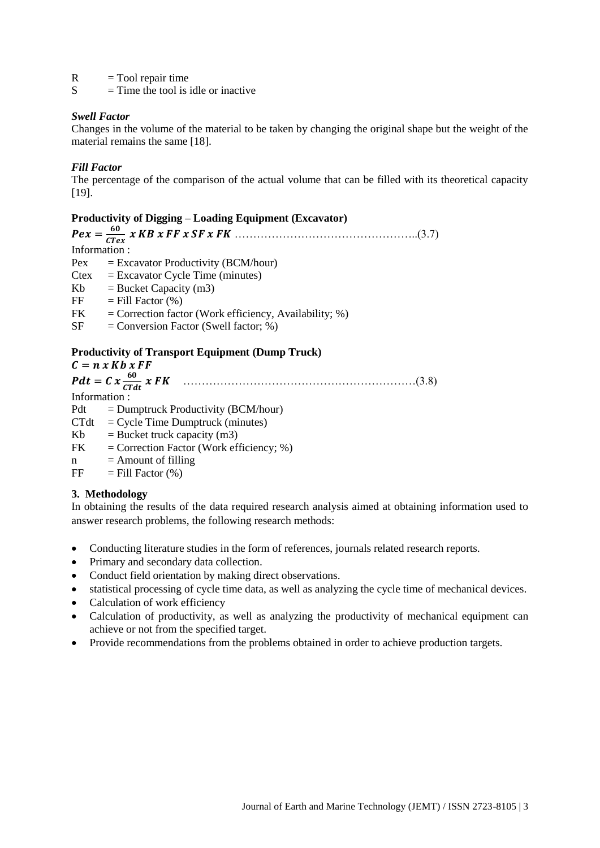$R = \text{Tool repair time}$ 

 $S = Time$  the tool is idle or inactive

## *Swell Factor*

Changes in the volume of the material to be taken by changing the original shape but the weight of the material remains the same [18].

## *Fill Factor*

The percentage of the comparison of the actual volume that can be filled with its theoretical capacity [19].

## **Productivity of Digging – Loading Equipment (Excavator)**

 $Pex = \frac{60}{CT}$  …………………………………………..(3.7) Information :  $Pex = Excavator Productivity (BCM/hour)$  $C$ tex = Excavator Cycle Time (minutes)  $Kb = Bucket Capacity(m3)$  $FF = Fill Factor (%)$  $FK = Correction factor (Work efficiency, Availableility; %)$  $SF =$  Conversion Factor (Swell factor; %) **Productivity of Transport Equipment (Dump Truck)**

 $C = n x Kb x FF$  = ………………………………………………………(3.8) Information :  $Pdt = Dumptruck Productivity (BCM/hour)$  $CTdt = Cycle Time Dumptruck (minutes)$  $Kb = Bucket truck capacity (m3)$  $FK = Correction Factor (Work efficiency; %)$  $n =$  Amount of filling  $FF = Fill Factor (%)$ 

#### **3. Methodology**

In obtaining the results of the data required research analysis aimed at obtaining information used to answer research problems, the following research methods:

- Conducting literature studies in the form of references, journals related research reports.
- Primary and secondary data collection.
- Conduct field orientation by making direct observations.
- statistical processing of cycle time data, as well as analyzing the cycle time of mechanical devices.
- Calculation of work efficiency
- Calculation of productivity, as well as analyzing the productivity of mechanical equipment can achieve or not from the specified target.
- Provide recommendations from the problems obtained in order to achieve production targets.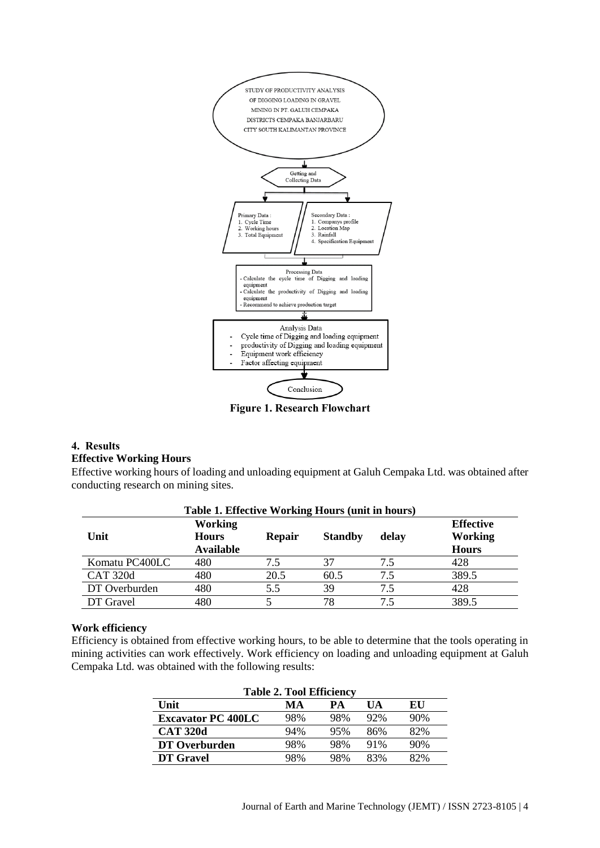

**Figure 1. Research Flowchart**

#### **4. Results Effective Working Hours**

Effective working hours of loading and unloading equipment at Galuh Cempaka Ltd. was obtained after conducting research on mining sites.

| Table 1. Effective Working Hours (unit in hours) |                                                    |      |      |     |       |  |  |
|--------------------------------------------------|----------------------------------------------------|------|------|-----|-------|--|--|
| Unit                                             | <b>Effective</b><br><b>Working</b><br><b>Hours</b> |      |      |     |       |  |  |
| Komatu PC400LC                                   | 480                                                | 7.5  | 37   | 7.5 | 428   |  |  |
| <b>CAT 320d</b>                                  | 480                                                | 20.5 | 60.5 | 7.5 | 389.5 |  |  |
| DT Overburden                                    | 480                                                | 5.5  | 39   | 7.5 | 428   |  |  |
| DT Gravel                                        | 480                                                |      | 78   | 7.5 | 389.5 |  |  |

### **Work efficiency**

Efficiency is obtained from effective working hours, to be able to determine that the tools operating in mining activities can work effectively. Work efficiency on loading and unloading equipment at Galuh Cempaka Ltd. was obtained with the following results:

| <b>Table 2. Tool Efficiency</b> |     |     |     |     |  |  |  |
|---------------------------------|-----|-----|-----|-----|--|--|--|
| Unit<br>PА<br>EU<br>MА<br>UА    |     |     |     |     |  |  |  |
| <b>Excavator PC 400LC</b>       | 98% | 98% | 92% | 90% |  |  |  |
| <b>CAT 320d</b>                 | 94% | 95% | 86% | 82% |  |  |  |
| DT Overburden                   | 98% | 98% | 91% | 90% |  |  |  |
| DT Gravel                       | 98% | 98% | 83% | 82% |  |  |  |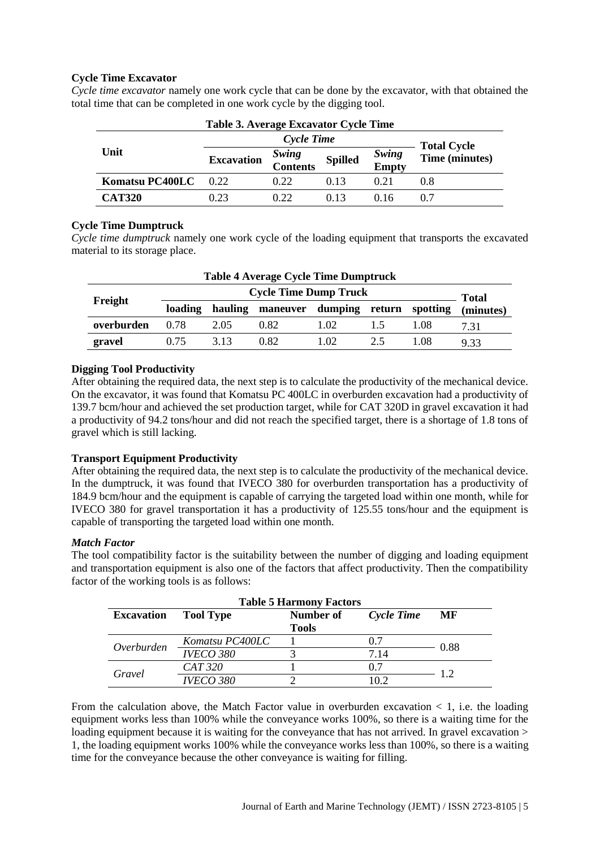# **Cycle Time Excavator**

| Table 3. Average Excavator Cycle Time |                   |                          |                |                |                |  |
|---------------------------------------|-------------------|--------------------------|----------------|----------------|----------------|--|
|                                       |                   | <b>Total Cycle</b>       |                |                |                |  |
| Unit                                  | <b>Excavation</b> | <i>Swing</i><br>Contents | <b>Spilled</b> | Swing<br>Empty | Time (minutes) |  |
| Komatsu PC400LC                       | 0.22              | 0.22                     | 0.13           | 0.21           | 0.8            |  |
| <b>CAT320</b>                         | 0.23              | 0.22                     | 0.13           | () 16          | 0.7            |  |

*Cycle time excavator* namely one work cycle that can be done by the excavator, with that obtained the total time that can be completed in one work cycle by the digging tool.

## **Cycle Time Dumptruck**

*Cycle time dumptruck* namely one work cycle of the loading equipment that transports the excavated material to its storage place.

| <b>Table 4 Average Cycle Time Dumptruck</b> |                              |         |                  |      |                |          |           |
|---------------------------------------------|------------------------------|---------|------------------|------|----------------|----------|-----------|
| Freight                                     | <b>Cycle Time Dump Truck</b> |         |                  |      |                |          | Total     |
|                                             | loading                      | hauling | maneuver dumping |      | return         | spotting | (minutes) |
| overburden                                  | 0.78                         | 2.05    | 0.82             | 1.02 | $\overline{1}$ | 1.08     | 7.31      |
| gravel                                      | (175                         | 3.13    | 0.82             | 1.02 | 2.5            | 1.08     | 9.33      |

## **Digging Tool Productivity**

After obtaining the required data, the next step is to calculate the productivity of the mechanical device. On the excavator, it was found that Komatsu PC 400LC in overburden excavation had a productivity of 139.7 bcm/hour and achieved the set production target, while for CAT 320D in gravel excavation it had a productivity of 94.2 tons/hour and did not reach the specified target, there is a shortage of 1.8 tons of gravel which is still lacking.

#### **Transport Equipment Productivity**

After obtaining the required data, the next step is to calculate the productivity of the mechanical device. In the dumptruck, it was found that IVECO 380 for overburden transportation has a productivity of 184.9 bcm/hour and the equipment is capable of carrying the targeted load within one month, while for IVECO 380 for gravel transportation it has a productivity of 125.55 tons/hour and the equipment is capable of transporting the targeted load within one month.

#### *Match Factor*

The tool compatibility factor is the suitability between the number of digging and loading equipment and transportation equipment is also one of the factors that affect productivity. Then the compatibility factor of the working tools is as follows:

| <b>Table 5 Harmony Factors</b> |                  |    |      |      |  |  |  |
|--------------------------------|------------------|----|------|------|--|--|--|
| <b>Excavation</b>              | <b>Tool Type</b> | MF |      |      |  |  |  |
| <b>Tools</b>                   |                  |    |      |      |  |  |  |
| Overburden                     | Komatsu PC400LC  |    | 0.7  | 0.88 |  |  |  |
|                                | <b>IVECO 380</b> |    | 7.14 |      |  |  |  |
| Gravel                         | CAT 320          |    | 0.7  | 1.2  |  |  |  |
|                                | <b>IVECO 380</b> |    | 10 2 |      |  |  |  |

From the calculation above, the Match Factor value in overburden excavation  $\lt 1$ , i.e. the loading equipment works less than 100% while the conveyance works 100%, so there is a waiting time for the loading equipment because it is waiting for the conveyance that has not arrived. In gravel excavation > 1, the loading equipment works 100% while the conveyance works less than 100%, so there is a waiting time for the conveyance because the other conveyance is waiting for filling.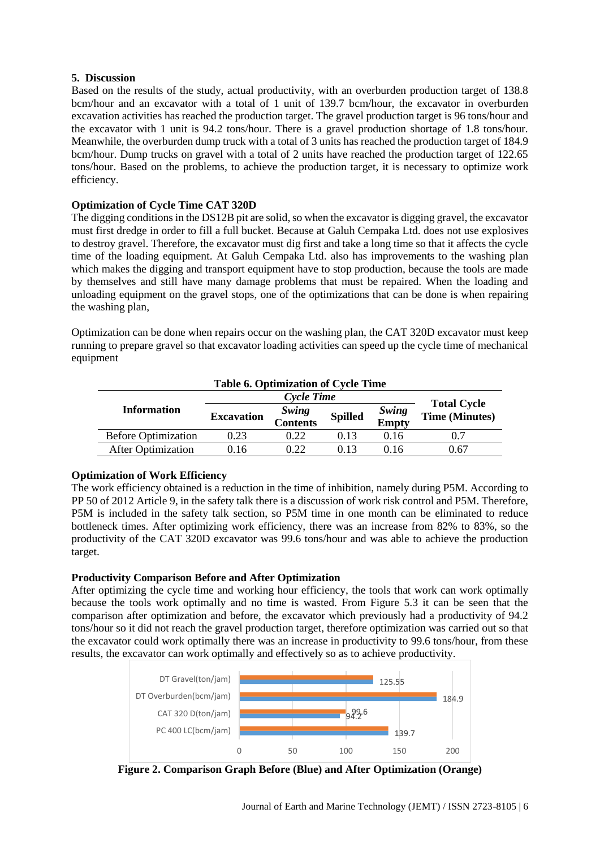### **5. Discussion**

Based on the results of the study, actual productivity, with an overburden production target of 138.8 bcm/hour and an excavator with a total of 1 unit of 139.7 bcm/hour, the excavator in overburden excavation activities has reached the production target. The gravel production target is 96 tons/hour and the excavator with 1 unit is 94.2 tons/hour. There is a gravel production shortage of 1.8 tons/hour. Meanwhile, the overburden dump truck with a total of 3 units has reached the production target of 184.9 bcm/hour. Dump trucks on gravel with a total of 2 units have reached the production target of 122.65 tons/hour. Based on the problems, to achieve the production target, it is necessary to optimize work efficiency.

## **Optimization of Cycle Time CAT 320D**

The digging conditions in the DS12B pit are solid, so when the excavator is digging gravel, the excavator must first dredge in order to fill a full bucket. Because at Galuh Cempaka Ltd. does not use explosives to destroy gravel. Therefore, the excavator must dig first and take a long time so that it affects the cycle time of the loading equipment. At Galuh Cempaka Ltd. also has improvements to the washing plan which makes the digging and transport equipment have to stop production, because the tools are made by themselves and still have many damage problems that must be repaired. When the loading and unloading equipment on the gravel stops, one of the optimizations that can be done is when repairing the washing plan,

Optimization can be done when repairs occur on the washing plan, the CAT 320D excavator must keep running to prepare gravel so that excavator loading activities can speed up the cycle time of mechanical equipment

| <b>Table 6. Optimization of Cycle Time</b> |                   |                   |                |                |                                             |  |  |
|--------------------------------------------|-------------------|-------------------|----------------|----------------|---------------------------------------------|--|--|
|                                            |                   |                   |                |                |                                             |  |  |
| <b>Information</b>                         | <b>Excavation</b> | Swing<br>Contents | <b>Spilled</b> | Swing<br>Empty | <b>Total Cycle</b><br><b>Time (Minutes)</b> |  |  |
| <b>Before Optimization</b>                 | 0.23              | 0.22              | 0.13           | 0.16           | 0.7                                         |  |  |
| <b>After Optimization</b>                  | 0.16              | 0.22              | 0.13           | በ 16           | 0.67                                        |  |  |

#### **Optimization of Work Efficiency**

The work efficiency obtained is a reduction in the time of inhibition, namely during P5M. According to PP 50 of 2012 Article 9, in the safety talk there is a discussion of work risk control and P5M. Therefore, P5M is included in the safety talk section, so P5M time in one month can be eliminated to reduce bottleneck times. After optimizing work efficiency, there was an increase from 82% to 83%, so the productivity of the CAT 320D excavator was 99.6 tons/hour and was able to achieve the production target.

# **Productivity Comparison Before and After Optimization**

After optimizing the cycle time and working hour efficiency, the tools that work can work optimally because the tools work optimally and no time is wasted. From Figure 5.3 it can be seen that the comparison after optimization and before, the excavator which previously had a productivity of 94.2 tons/hour so it did not reach the gravel production target, therefore optimization was carried out so that the excavator could work optimally there was an increase in productivity to 99.6 tons/hour, from these results, the excavator can work optimally and effectively so as to achieve productivity.



**Figure 2. Comparison Graph Before (Blue) and After Optimization (Orange)**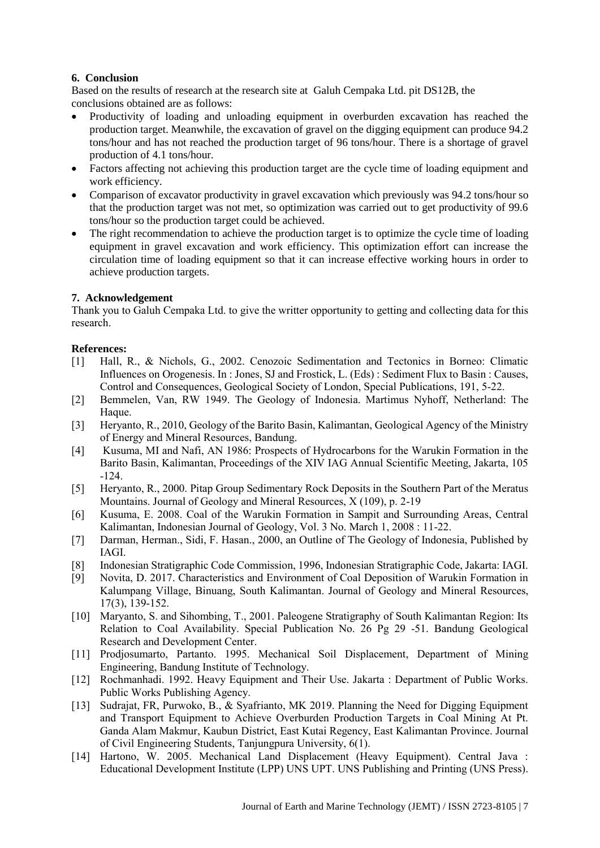# **6. Conclusion**

Based on the results of research at the research site at Galuh Cempaka Ltd. pit DS12B, the conclusions obtained are as follows:

- Productivity of loading and unloading equipment in overburden excavation has reached the production target. Meanwhile, the excavation of gravel on the digging equipment can produce 94.2 tons/hour and has not reached the production target of 96 tons/hour. There is a shortage of gravel production of 4.1 tons/hour.
- Factors affecting not achieving this production target are the cycle time of loading equipment and work efficiency.
- Comparison of excavator productivity in gravel excavation which previously was 94.2 tons/hour so that the production target was not met, so optimization was carried out to get productivity of 99.6 tons/hour so the production target could be achieved.
- The right recommendation to achieve the production target is to optimize the cycle time of loading equipment in gravel excavation and work efficiency. This optimization effort can increase the circulation time of loading equipment so that it can increase effective working hours in order to achieve production targets.

# **7. Acknowledgement**

Thank you to Galuh Cempaka Ltd. to give the writter opportunity to getting and collecting data for this research.

# **References:**

- [1] Hall, R., & Nichols, G., 2002. Cenozoic Sedimentation and Tectonics in Borneo: Climatic Influences on Orogenesis. In : Jones, SJ and Frostick, L. (Eds) : Sediment Flux to Basin : Causes, Control and Consequences, Geological Society of London, Special Publications, 191, 5-22.
- [2] Bemmelen, Van, RW 1949. The Geology of Indonesia. Martimus Nyhoff, Netherland: The Haque.
- [3] Heryanto, R., 2010, Geology of the Barito Basin, Kalimantan, Geological Agency of the Ministry of Energy and Mineral Resources, Bandung.
- [4] Kusuma, MI and Nafi, AN 1986: Prospects of Hydrocarbons for the Warukin Formation in the Barito Basin, Kalimantan, Proceedings of the XIV IAG Annual Scientific Meeting, Jakarta, 105 -124.
- [5] Heryanto, R., 2000. Pitap Group Sedimentary Rock Deposits in the Southern Part of the Meratus Mountains. Journal of Geology and Mineral Resources, X (109), p. 2-19
- [6] Kusuma, E. 2008. Coal of the Warukin Formation in Sampit and Surrounding Areas, Central Kalimantan, Indonesian Journal of Geology, Vol. 3 No. March 1, 2008 : 11-22.
- [7] Darman, Herman., Sidi, F. Hasan., 2000, an Outline of The Geology of Indonesia, Published by IAGI.
- [8] Indonesian Stratigraphic Code Commission, 1996, Indonesian Stratigraphic Code, Jakarta: IAGI.
- [9] Novita, D. 2017. Characteristics and Environment of Coal Deposition of Warukin Formation in Kalumpang Village, Binuang, South Kalimantan. Journal of Geology and Mineral Resources, 17(3), 139-152.
- [10] Maryanto, S. and Sihombing, T., 2001. Paleogene Stratigraphy of South Kalimantan Region: Its Relation to Coal Availability. Special Publication No. 26 Pg 29 -51. Bandung Geological Research and Development Center.
- [11] Prodjosumarto, Partanto. 1995. Mechanical Soil Displacement, Department of Mining Engineering, Bandung Institute of Technology.
- [12] Rochmanhadi. 1992. Heavy Equipment and Their Use. Jakarta : Department of Public Works. Public Works Publishing Agency.
- [13] Sudrajat, FR, Purwoko, B., & Syafrianto, MK 2019. Planning the Need for Digging Equipment and Transport Equipment to Achieve Overburden Production Targets in Coal Mining At Pt. Ganda Alam Makmur, Kaubun District, East Kutai Regency, East Kalimantan Province. Journal of Civil Engineering Students, Tanjungpura University, 6(1).
- [14] Hartono, W. 2005. Mechanical Land Displacement (Heavy Equipment). Central Java : Educational Development Institute (LPP) UNS UPT. UNS Publishing and Printing (UNS Press).